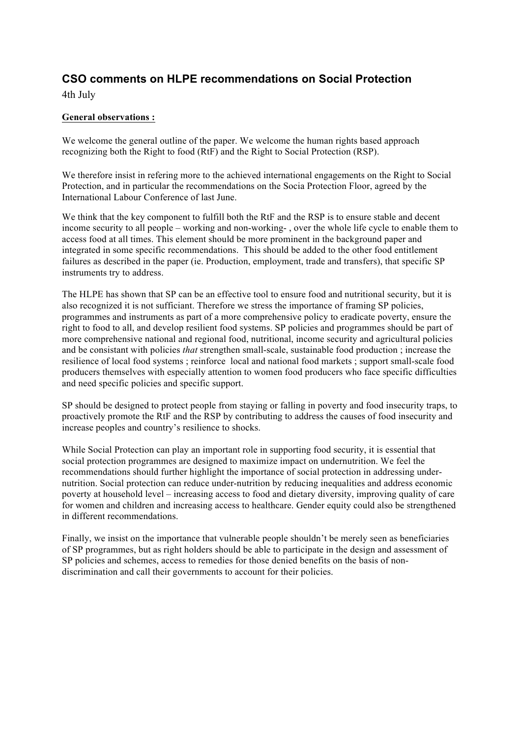# **CSO comments on HLPE recommendations on Social Protection**

4th July

## **General observations :**

We welcome the general outline of the paper. We welcome the human rights based approach recognizing both the Right to food (RtF) and the Right to Social Protection (RSP).

We therefore insist in refering more to the achieved international engagements on the Right to Social Protection, and in particular the recommendations on the Socia Protection Floor, agreed by the International Labour Conference of last June.

We think that the key component to fulfill both the RtF and the RSP is to ensure stable and decent income security to all people – working and non-working- , over the whole life cycle to enable them to access food at all times. This element should be more prominent in the background paper and integrated in some specific recommendations. This should be added to the other food entitlement failures as described in the paper (ie. Production, employment, trade and transfers), that specific SP instruments try to address.

The HLPE has shown that SP can be an effective tool to ensure food and nutritional security, but it is also recognized it is not sufficiant. Therefore we stress the importance of framing SP policies, programmes and instruments as part of a more comprehensive policy to eradicate poverty, ensure the right to food to all, and develop resilient food systems. SP policies and programmes should be part of more comprehensive national and regional food, nutritional, income security and agricultural policies and be consistant with policies *that* strengthen small-scale, sustainable food production ; increase the resilience of local food systems ; reinforce local and national food markets ; support small-scale food producers themselves with especially attention to women food producers who face specific difficulties and need specific policies and specific support.

SP should be designed to protect people from staying or falling in poverty and food insecurity traps, to proactively promote the RtF and the RSP by contributing to address the causes of food insecurity and increase peoples and country's resilience to shocks.

While Social Protection can play an important role in supporting food security, it is essential that social protection programmes are designed to maximize impact on undernutrition. We feel the recommendations should further highlight the importance of social protection in addressing undernutrition. Social protection can reduce under-nutrition by reducing inequalities and address economic poverty at household level – increasing access to food and dietary diversity, improving quality of care for women and children and increasing access to healthcare. Gender equity could also be strengthened in different recommendations.

Finally, we insist on the importance that vulnerable people shouldn't be merely seen as beneficiaries of SP programmes, but as right holders should be able to participate in the design and assessment of SP policies and schemes, access to remedies for those denied benefits on the basis of nondiscrimination and call their governments to account for their policies.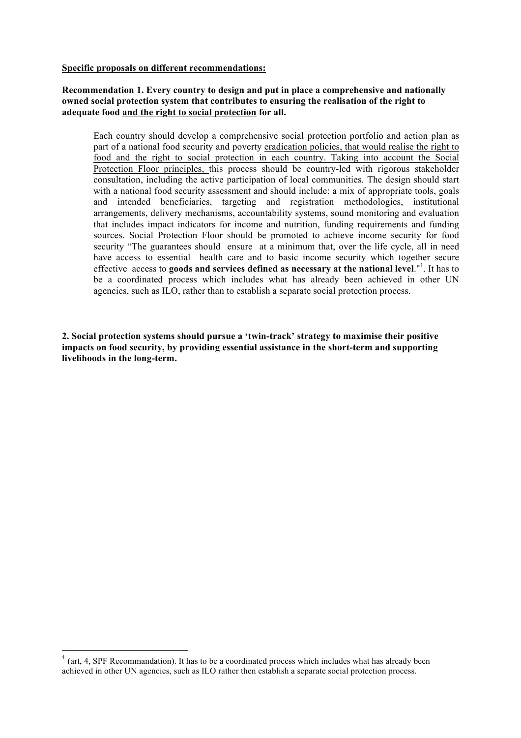#### **Specific proposals on different recommendations:**

#### **Recommendation 1. Every country to design and put in place a comprehensive and nationally owned social protection system that contributes to ensuring the realisation of the right to adequate food and the right to social protection for all.**

Each country should develop a comprehensive social protection portfolio and action plan as part of a national food security and poverty eradication policies, that would realise the right to food and the right to social protection in each country. Taking into account the Social Protection Floor principles, this process should be country-led with rigorous stakeholder consultation, including the active participation of local communities. The design should start with a national food security assessment and should include: a mix of appropriate tools, goals and intended beneficiaries, targeting and registration methodologies, institutional arrangements, delivery mechanisms, accountability systems, sound monitoring and evaluation that includes impact indicators for income and nutrition, funding requirements and funding sources. Social Protection Floor should be promoted to achieve income security for food security "The guarantees should ensure at a minimum that, over the life cycle, all in need have access to essential health care and to basic income security which together secure effective access to **goods and services defined as necessary at the national level**."<sup>1</sup>. It has to be a coordinated process which includes what has already been achieved in other UN agencies, such as ILO, rather than to establish a separate social protection process.

**2. Social protection systems should pursue a 'twin-track' strategy to maximise their positive impacts on food security, by providing essential assistance in the short-term and supporting livelihoods in the long-term.** 

 $<sup>1</sup>$  (art, 4, SPF Recommandation). It has to be a coordinated process which includes what has already been</sup> achieved in other UN agencies, such as ILO rather then establish a separate social protection process.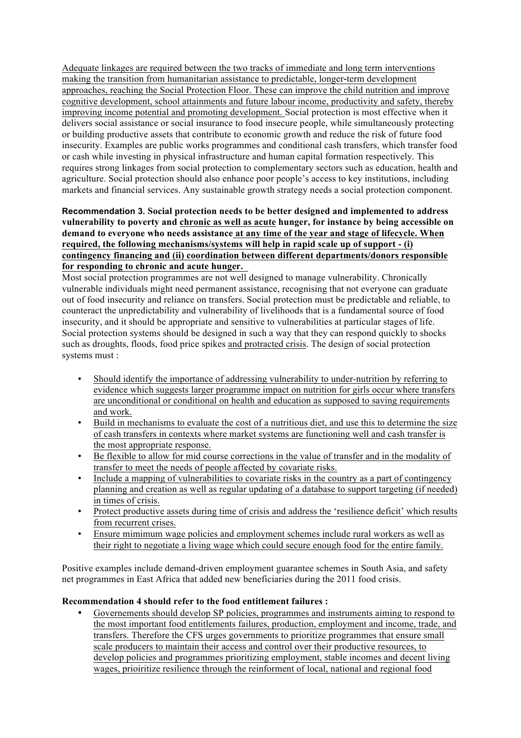Adequate linkages are required between the two tracks of immediate and long term interventions making the transition from humanitarian assistance to predictable, longer-term development approaches, reaching the Social Protection Floor. These can improve the child nutrition and improve cognitive development, school attainments and future labour income, productivity and safety, thereby improving income potential and promoting development. Social protection is most effective when it delivers social assistance or social insurance to food insecure people, while simultaneously protecting or building productive assets that contribute to economic growth and reduce the risk of future food insecurity. Examples are public works programmes and conditional cash transfers, which transfer food or cash while investing in physical infrastructure and human capital formation respectively. This requires strong linkages from social protection to complementary sectors such as education, health and agriculture. Social protection should also enhance poor people's access to key institutions, including markets and financial services. Any sustainable growth strategy needs a social protection component.

## **Recommendation 3. Social protection needs to be better designed and implemented to address vulnerability to poverty and chronic as well as acute hunger, for instance by being accessible on demand to everyone who needs assistance at any time of the year and stage of lifecycle. When required, the following mechanisms/systems will help in rapid scale up of support - (i) contingency financing and (ii) coordination between different departments/donors responsible for responding to chronic and acute hunger.**

Most social protection programmes are not well designed to manage vulnerability. Chronically vulnerable individuals might need permanent assistance, recognising that not everyone can graduate out of food insecurity and reliance on transfers. Social protection must be predictable and reliable, to counteract the unpredictability and vulnerability of livelihoods that is a fundamental source of food insecurity, and it should be appropriate and sensitive to vulnerabilities at particular stages of life. Social protection systems should be designed in such a way that they can respond quickly to shocks such as droughts, floods, food price spikes and protracted crisis. The design of social protection systems must :

- Should identify the importance of addressing vulnerability to under-nutrition by referring to evidence which suggests larger programme impact on nutrition for girls occur where transfers are unconditional or conditional on health and education as supposed to saving requirements and work.
- Build in mechanisms to evaluate the cost of a nutritious diet, and use this to determine the size of cash transfers in contexts where market systems are functioning well and cash transfer is the most appropriate response.
- Be flexible to allow for mid course corrections in the value of transfer and in the modality of transfer to meet the needs of people affected by covariate risks.
- Include a mapping of vulnerabilities to covariate risks in the country as a part of contingency planning and creation as well as regular updating of a database to support targeting (if needed) in times of crisis.
- Protect productive assets during time of crisis and address the 'resilience deficit' which results from recurrent crises.
- Ensure mimimum wage policies and employment schemes include rural workers as well as their right to negotiate a living wage which could secure enough food for the entire family.

Positive examples include demand-driven employment guarantee schemes in South Asia, and safety net programmes in East Africa that added new beneficiaries during the 2011 food crisis.

## **Recommendation 4 should refer to the food entitlement failures :**

• Governements should develop SP policies, programmes and instruments aiming to respond to the most important food entitlements failures, production, employment and income, trade, and transfers. Therefore the CFS urges governments to prioritize programmes that ensure small scale producers to maintain their access and control over their productive resources, to develop policies and programmes prioritizing employment, stable incomes and decent living wages, prioiritize resilience through the reinforment of local, national and regional food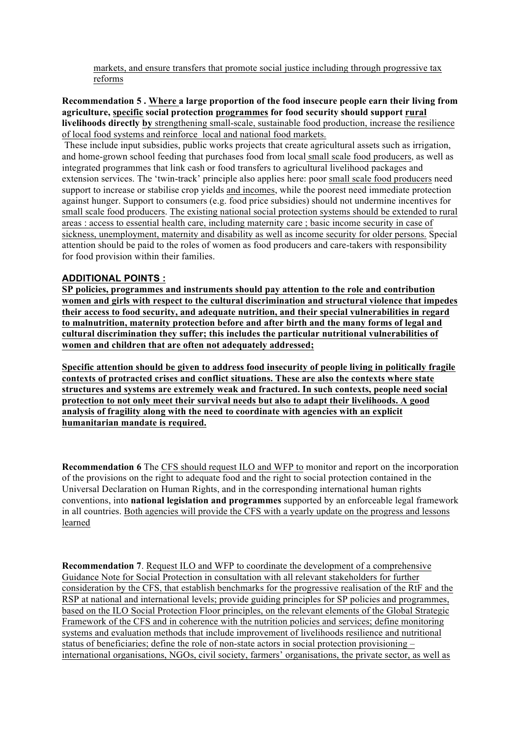markets, and ensure transfers that promote social justice including through progressive tax reforms

#### **Recommendation 5 . Where a large proportion of the food insecure people earn their living from agriculture, specific social protection programmes for food security should support rural livelihoods directly by** strengthening small-scale, sustainable food production, increase the resilience of local food systems and reinforce local and national food markets.

These include input subsidies, public works projects that create agricultural assets such as irrigation, and home-grown school feeding that purchases food from local small scale food producers, as well as integrated programmes that link cash or food transfers to agricultural livelihood packages and extension services. The 'twin-track' principle also applies here: poor small scale food producers need support to increase or stabilise crop yields and incomes, while the poorest need immediate protection against hunger. Support to consumers (e.g. food price subsidies) should not undermine incentives for small scale food producers. The existing national social protection systems should be extended to rural areas : access to essential health care, including maternity care ; basic income security in case of sickness, unemployment, maternity and disability as well as income security for older persons. Special attention should be paid to the roles of women as food producers and care-takers with responsibility for food provision within their families.

### **ADDITIONAL POINTS :**

**SP policies, programmes and instruments should pay attention to the role and contribution women and girls with respect to the cultural discrimination and structural violence that impedes their access to food security, and adequate nutrition, and their special vulnerabilities in regard to malnutrition, maternity protection before and after birth and the many forms of legal and cultural discrimination they suffer; this includes the particular nutritional vulnerabilities of women and children that are often not adequately addressed;**

**Specific attention should be given to address food insecurity of people living in politically fragile contexts of protracted crises and conflict situations. These are also the contexts where state structures and systems are extremely weak and fractured. In such contexts, people need social protection to not only meet their survival needs but also to adapt their livelihoods. A good analysis of fragility along with the need to coordinate with agencies with an explicit humanitarian mandate is required.** 

**Recommendation 6** The CFS should request ILO and WFP to monitor and report on the incorporation of the provisions on the right to adequate food and the right to social protection contained in the Universal Declaration on Human Rights, and in the corresponding international human rights conventions, into **national legislation and programmes** supported by an enforceable legal framework in all countries. Both agencies will provide the CFS with a yearly update on the progress and lessons learned

**Recommendation 7**. Request ILO and WFP to coordinate the development of a comprehensive Guidance Note for Social Protection in consultation with all relevant stakeholders for further consideration by the CFS, that establish benchmarks for the progressive realisation of the RtF and the RSP at national and international levels; provide guiding principles for SP policies and programmes, based on the ILO Social Protection Floor principles, on the relevant elements of the Global Strategic Framework of the CFS and in coherence with the nutrition policies and services; define monitoring systems and evaluation methods that include improvement of livelihoods resilience and nutritional status of beneficiaries; define the role of non-state actors in social protection provisioning – international organisations, NGOs, civil society, farmers' organisations, the private sector, as well as